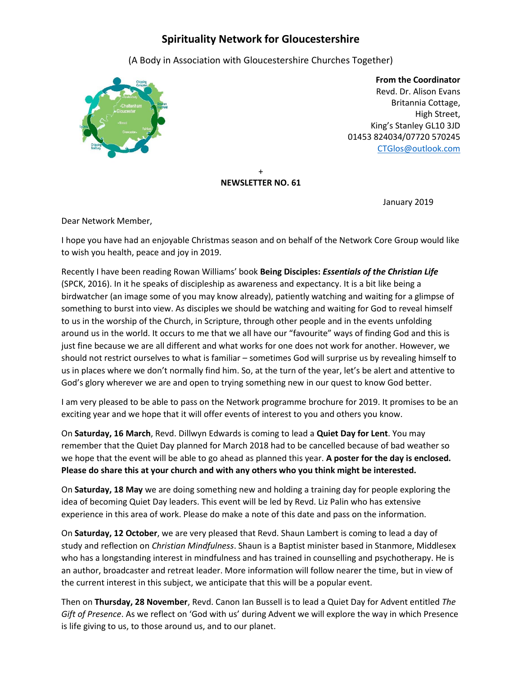# **Spirituality Network for Gloucestershire**

(A Body in Association with Gloucestershire Churches Together)



 **From the Coordinator** Revd. Dr. Alison Evans Britannia Cottage, High Street, King's Stanley GL10 3JD 01453 824034/07720 570245 [CTGlos@outlook.com](mailto:CTGlos@outlook.com)

#### + **NEWSLETTER NO. 61**

January 2019

Dear Network Member,

I hope you have had an enjoyable Christmas season and on behalf of the Network Core Group would like to wish you health, peace and joy in 2019.

Recently I have been reading Rowan Williams' book **Being Disciples:** *Essentials of the Christian Life* (SPCK, 2016). In it he speaks of discipleship as awareness and expectancy. It is a bit like being a birdwatcher (an image some of you may know already), patiently watching and waiting for a glimpse of something to burst into view. As disciples we should be watching and waiting for God to reveal himself to us in the worship of the Church, in Scripture, through other people and in the events unfolding around us in the world. It occurs to me that we all have our "favourite" ways of finding God and this is just fine because we are all different and what works for one does not work for another. However, we should not restrict ourselves to what is familiar – sometimes God will surprise us by revealing himself to us in places where we don't normally find him. So, at the turn of the year, let's be alert and attentive to God's glory wherever we are and open to trying something new in our quest to know God better.

I am very pleased to be able to pass on the Network programme brochure for 2019. It promises to be an exciting year and we hope that it will offer events of interest to you and others you know.

On **Saturday, 16 March**, Revd. Dillwyn Edwards is coming to lead a **Quiet Day for Lent**. You may remember that the Quiet Day planned for March 2018 had to be cancelled because of bad weather so we hope that the event will be able to go ahead as planned this year. **A poster for the day is enclosed. Please do share this at your church and with any others who you think might be interested.**

On **Saturday, 18 May** we are doing something new and holding a training day for people exploring the idea of becoming Quiet Day leaders. This event will be led by Revd. Liz Palin who has extensive experience in this area of work. Please do make a note of this date and pass on the information.

On **Saturday, 12 October**, we are very pleased that Revd. Shaun Lambert is coming to lead a day of study and reflection on *Christian Mindfulness*. Shaun is a Baptist minister based in Stanmore, Middlesex who has a longstanding interest in mindfulness and has trained in counselling and psychotherapy. He is an author, broadcaster and retreat leader. More information will follow nearer the time, but in view of the current interest in this subject, we anticipate that this will be a popular event.

Then on **Thursday, 28 November**, Revd. Canon Ian Bussell is to lead a Quiet Day for Advent entitled *The Gift of Presence*. As we reflect on 'God with us' during Advent we will explore the way in which Presence is life giving to us, to those around us, and to our planet.